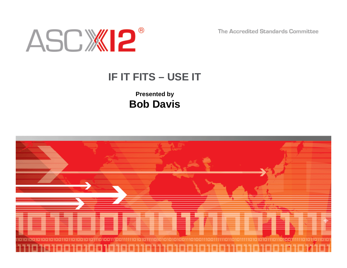The Accredited Standards Committee



## **IF IT FITS – USE IT**

**Presented by Bob Davis**

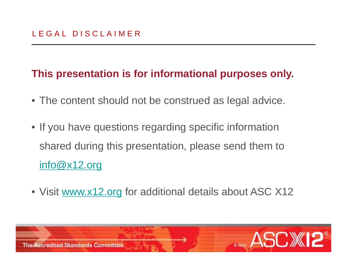## **This presentation is for informational purposes only.**

- The content should not be construed as legal advice.
- If you have questions regarding specific information shared during this presentation, please send them to info@x12.org
- Visit <u>www.x12.org</u> for additional details about ASC X12

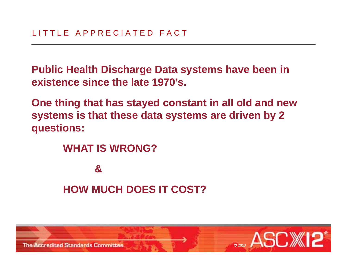**Public Health Discharge Data systems have been in existence since the late 1970 s' .** 

**One thing that has stayed constant in all old and new systems is that these data systems are driven by 2 by questions:**

> **WHAT IS WRONG?& HOW MUCH DOES IT COST?**

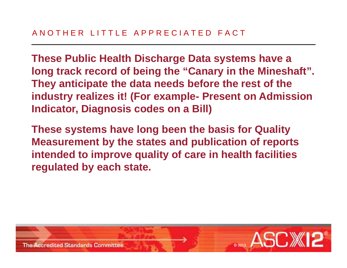**These Public Health Discharge Data systems have a long track record of being the "Canary in the Mineshaft". They anticipate the data needs before the rest of the industry realizes it! (For example- Present on Admission Indicator, Diagnosis codes on a Bill)**

**These systems have long been the basis for Quality Measurement by the states and publication of reports**  intended to improve quality of care in health facilities **regulated by each state.**

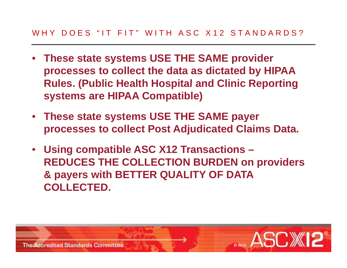#### WHY DOES "IT FIT" WITH ASC X12 STANDARDS?

- **These state systems USE THE SAME provider processes to collect the data as dictated by HIPAA Rules. (Public Health Hospital and Clinic Reporting systems are HIPAA Compatible)**
- **These state systems USE THE SAME payer processes to collect Post Adjudicated Claims Data.**
- **Using compatible ASC X12 Transactions – REDUCES THE COLLECTION BURDEN on providers & payers with BETTER QUALITY OF DATA COLLECTED.**

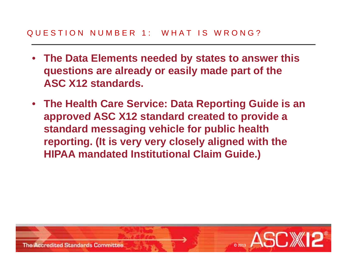- **The Data Elements needed by states to answer this questions are already or easily made part of the ASC X12 standards standards.**
- **The Health Care Service: Data Reporting Guide is an approved ASC X12 standard created to provide <sup>a</sup> approved standard messaging vehicle for public health reporting. (It is very very closely aligned with the HIPAA mandated Institutional Claim Guide.)**

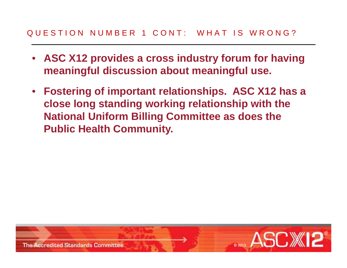- **ASC X12 provides a cross industry forum for having meaningful discussion about meaningful use.**
- **Fostering of important relationships. ASC X12 has a close long standing working relationship with the National Uniform Billing Committee as does the Public Health Community.**

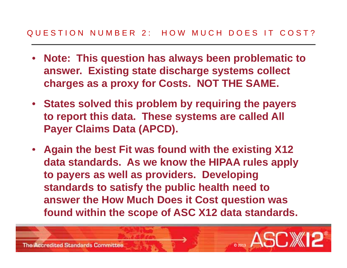- **Note: This question has always been problematic to answer. Existing state discharge systems collect charges as <sup>a</sup> proxy for Costs NOT THE SAME as Costs. SAME.**
- **States solved this problem by requiring the payers to report this data These systems are called All data. Payer Claims Data (APCD).**
- Again the best Fit was found with the existing X12 **data standards. As we know the HIPAA rules apply to payers as well as providers. Developing**  standards to satisfy the public health need to **answer the How Much Does it Cost question was found within the scope of ASC X12 data standards.**

©2013 ®

**The Accredited Standards Committee**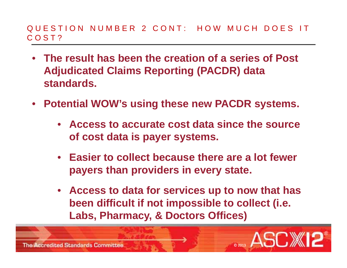- **The result has been the creation of a series of Post Adjudicated Claims Reporting (PACDR) data standards.**
- **Potential WOW's using these new PACDR systems.**
	- **Access to accurate cost data since the source of cost data is payer systems.**
	- **Easier to collect because there are a lot fewer payers than providers in every state.**
	- **Access to data for services up to now that has been difficult if not impossible to collect (i.e. Labs, Pharmacy, & Doctors Offices) Doctors Offices)**

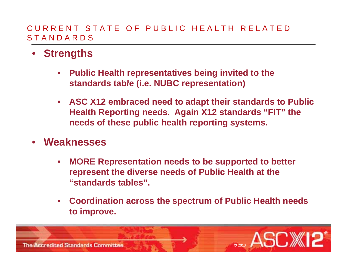#### CURRENT STATE OF PUBLIC HEALTH RELATED STANDARDS

- **Strengths**
	- $\bullet$  **Public Health representatives being invited to the standards table (i <sup>e</sup> NUBC representation) (i.e.**
	- $\bullet$  **ASC X12 embraced need to adapt their standards to Public Health Reportin g g needs. A gain X12 standards "FIT" the needs of these public health reporting systems.**
- **Weaknesses**
	- $\bullet$  **MORE Representation needs to be supported to better represent the diverse needs of Public Health at the "standards tables".**
	- • **Coordination across the spectrum of Public Health needs to improve.**

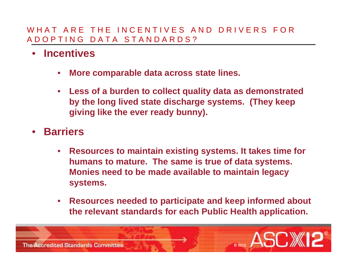#### WHAT ARE THE INCENTIVES AND DRIVERS FOR ADOPTING DATA STANDARDS?

- • **Incentives**
	- $\bullet$ **More comparable data across state lines.**
	- $\bullet$  **Less of a burden to collect quality data as demonstrated by the long lived state discharge systems. (They keep g**iving like the ever ready bunny).
- **Barriers**
	- $\bullet$  **Resources to maintain existing systems It takes time for systems. humans to mature. The same is true of data systems. Monies need to be made available to maintain legacy systems.**
	- • **Resources needed to participate and keep informed about the relevant standards for each Public Health application.**

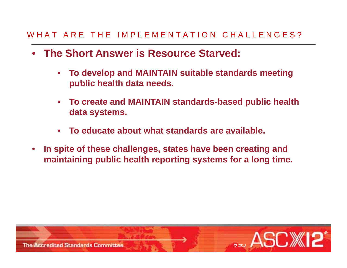#### WHAT ARE THE IMPLEMENTATION CHALLENGES?

- **The Short Answer is Resource Starved:** 
	- $\bullet$  **To develop and MAINTAIN suitable standards meeting public health data needs needs.**
	- $\bullet$  **To create and MAINTAIN standards-based public health data s ystems.**
	- $\bullet$ **To educate about what standards are available.**
- • **In spite of these challenges states have been creating and In challenges, maintaining public health reporting systems for a long time.**

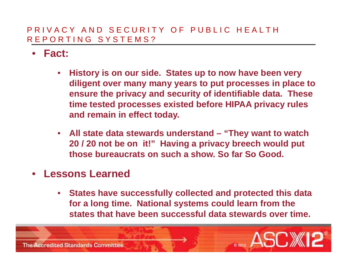#### PRIVACY AND SECURITY OF PUBLIC HEALTH REPORTING SYSTEMS?

- **Fact:**
	- $\bullet$  **History is on our side. States up to now have been very diligent over many many years to put processes in place to ensure the privacy and security of identifiable data. These time tested processes existed before HIPAA privacy rules and remain in effect today.**
	- **All state data stewards understand – "They want to watch 20 / 20 not be on it!" Having a privacy breech would put those bureaucrats on such a show. So far So Good.**
- **Lessons Learned**
	- **States have successfully collected and protected this data for a long time. National systems could learn from the states that have been successful data stewards over time.**

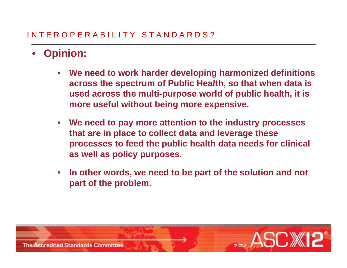### INTEROPERABILITY STANDARDS?

#### •**Opinion:**

- $\bullet$  **We need to work harder developing harmonized definitions**  across the spectrum of Public Health, so that when data is **used across the multi-purpose world of public health, it is more useful without being more expensive.**
- • **We need to pay more attention to the industry processes that are in place to collect data and leverage these processes to feed the public health data needs for clinical as well as policy purposes.**
- • **In other words, we need to be part of the solution and not part of the problem problem.**

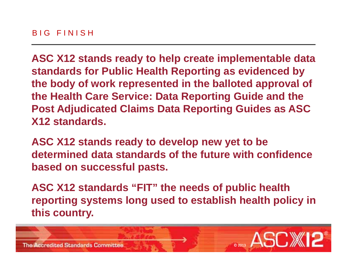**ASC X12 stands ready to help create implementable data standards for Public Health Reporting as evidenced by the body of work represented in the balloted approval of balloted of the Health Care Service: Data Reporting Guide and the Post Adjudicated Claims Data Reporting Guides as ASC X12 standards.**

**ASC X12 stands ready to develop new yet to be**  determined data standards of the future with confidence **based on successful pasts.**

ASC X12 standards "FIT" the needs of public health **reporting systems long used to establish health policy in this country. y**

> ©2013

®

 $\blacksquare$